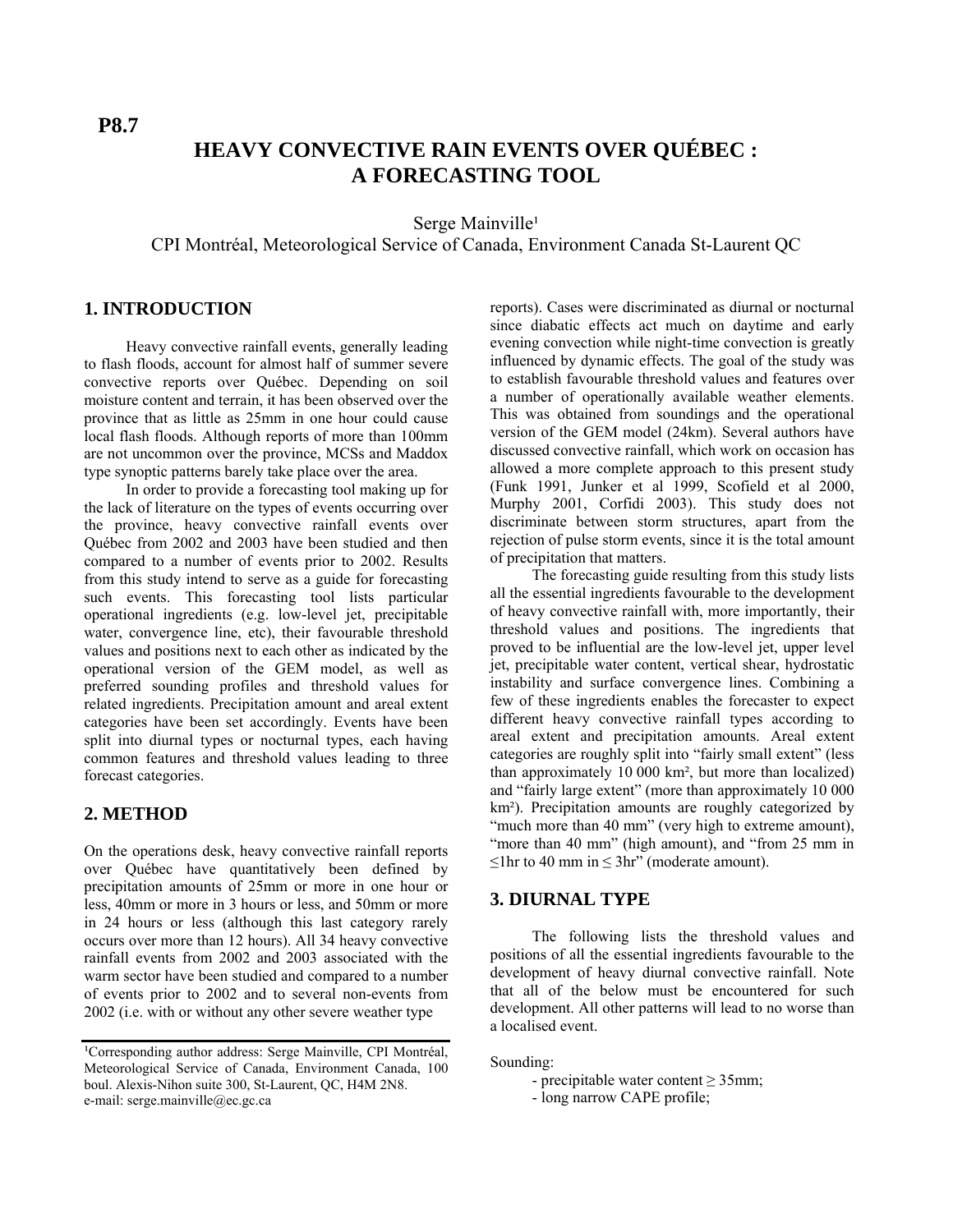# **HEAVY CONVECTIVE RAIN EVENTS OVER QUÉBEC : A FORECASTING TOOL**

Serge Mainville<sup>1</sup>

CPI Montréal, Meteorological Service of Canada, Environment Canada St-Laurent QC

## **1. INTRODUCTION**

Heavy convective rainfall events, generally leading to flash floods, account for almost half of summer severe convective reports over Québec. Depending on soil moisture content and terrain, it has been observed over the province that as little as 25mm in one hour could cause local flash floods. Although reports of more than 100mm are not uncommon over the province, MCSs and Maddox type synoptic patterns barely take place over the area.

In order to provide a forecasting tool making up for the lack of literature on the types of events occurring over the province, heavy convective rainfall events over Québec from 2002 and 2003 have been studied and then compared to a number of events prior to 2002. Results from this study intend to serve as a guide for forecasting such events. This forecasting tool lists particular operational ingredients (e.g. low-level jet, precipitable water, convergence line, etc), their favourable threshold values and positions next to each other as indicated by the operational version of the GEM model, as well as preferred sounding profiles and threshold values for related ingredients. Precipitation amount and areal extent categories have been set accordingly. Events have been split into diurnal types or nocturnal types, each having common features and threshold values leading to three forecast categories.

### **2. METHOD**

On the operations desk, heavy convective rainfall reports over Québec have quantitatively been defined by precipitation amounts of 25mm or more in one hour or less, 40mm or more in 3 hours or less, and 50mm or more in 24 hours or less (although this last category rarely occurs over more than 12 hours). All 34 heavy convective rainfall events from 2002 and 2003 associated with the warm sector have been studied and compared to a number of events prior to 2002 and to several non-events from 2002 (i.e. with or without any other severe weather type

reports). Cases were discriminated as diurnal or nocturnal since diabatic effects act much on daytime and early evening convection while night-time convection is greatly influenced by dynamic effects. The goal of the study was to establish favourable threshold values and features over a number of operationally available weather elements. This was obtained from soundings and the operational version of the GEM model (24km). Several authors have discussed convective rainfall, which work on occasion has allowed a more complete approach to this present study (Funk 1991, Junker et al 1999, Scofield et al 2000, Murphy 2001, Corfidi 2003). This study does not discriminate between storm structures, apart from the rejection of pulse storm events, since it is the total amount of precipitation that matters.

The forecasting guide resulting from this study lists all the essential ingredients favourable to the development of heavy convective rainfall with, more importantly, their threshold values and positions. The ingredients that proved to be influential are the low-level jet, upper level jet, precipitable water content, vertical shear, hydrostatic instability and surface convergence lines. Combining a few of these ingredients enables the forecaster to expect different heavy convective rainfall types according to areal extent and precipitation amounts. Areal extent categories are roughly split into "fairly small extent" (less than approximately  $10\,000\,\mathrm{km^2}$ , but more than localized) and "fairly large extent" (more than approximately 10 000 km²). Precipitation amounts are roughly categorized by "much more than 40 mm" (very high to extreme amount), "more than 40 mm" (high amount), and "from 25 mm in  $\leq$ 1hr to 40 mm in  $\leq$ 3hr" (moderate amount).

### **3. DIURNAL TYPE**

The following lists the threshold values and positions of all the essential ingredients favourable to the development of heavy diurnal convective rainfall. Note that all of the below must be encountered for such development. All other patterns will lead to no worse than a localised event.

Sounding:

- precipitable water content  $\geq$  35mm;
- long narrow CAPE profile;

<sup>&</sup>lt;sup>1</sup>Corresponding author address: Serge Mainville, CPI Montréal, Meteorological Service of Canada, Environment Canada, 100 boul. Alexis-Nihon suite 300, St-Laurent, QC, H4M 2N8. e-mail: serge.mainville@ec.gc.ca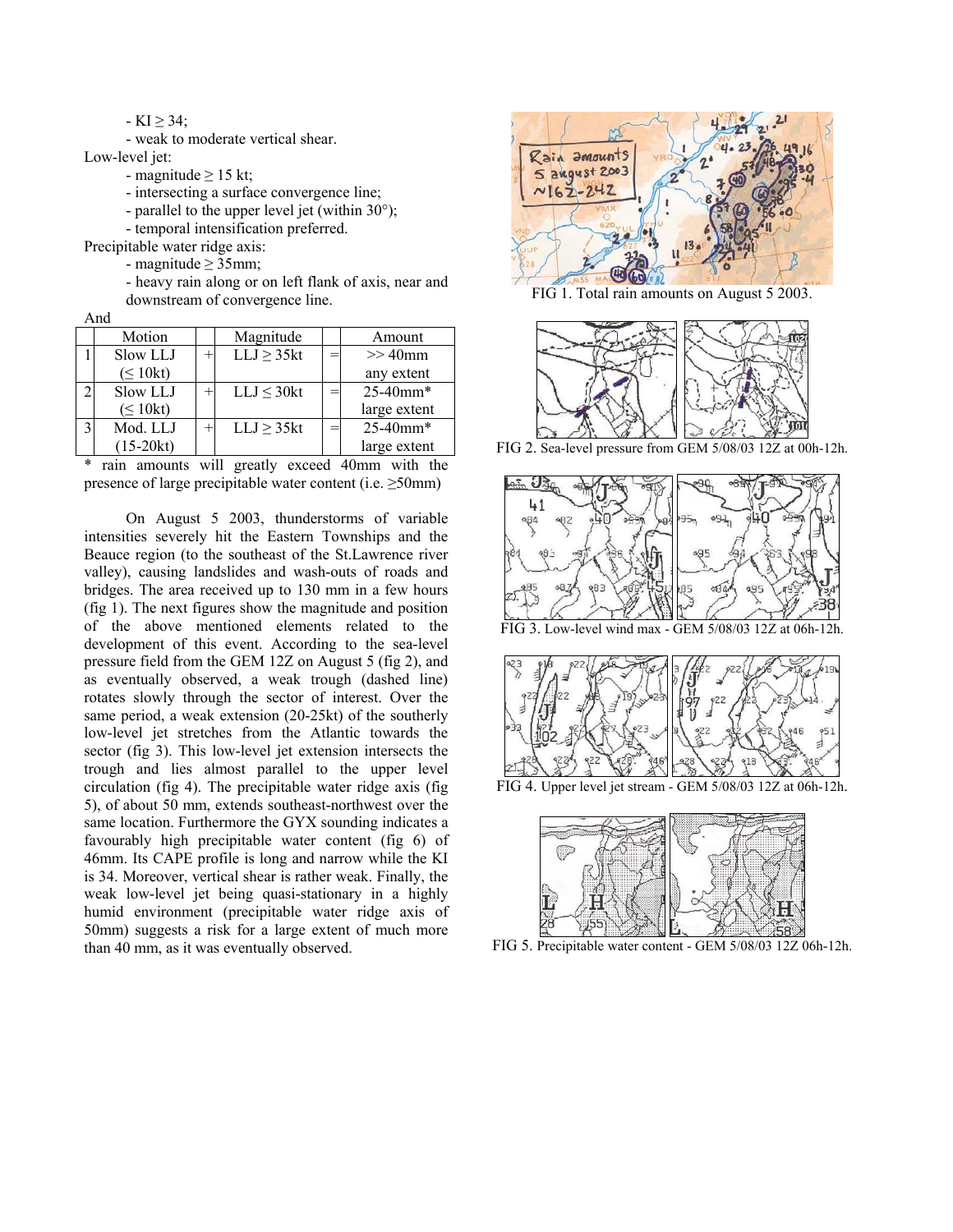#### $-KI \geq 34$ ;

- weak to moderate vertical shear.

Low-level jet:

- magnitude  $\geq$  15 kt;

- intersecting a surface convergence line;

- parallel to the upper level jet (within 30°);

- temporal intensification preferred.

Precipitable water ridge axis:

- magnitude ≥ 35mm;

- heavy rain along or on left flank of axis, near and downstream of convergence line.

And

|   | Motion        | Magnitude       | Amount                    |
|---|---------------|-----------------|---------------------------|
|   | Slow LLJ      | $LLJ \geq 35kt$ | $>>$ 40 $mm$              |
|   | $(\leq 10kt)$ |                 | any extent                |
|   | Slow LLJ      | $LLJ \leq 30kt$ | 25-40mm*                  |
|   | $(\leq 10kt)$ |                 | large extent              |
| 3 | Mod. LLJ      | LLJ > 35kt      | $25 - 40$ mm <sup>*</sup> |
|   | $(15-20kt)$   |                 | large extent              |

\* rain amounts will greatly exceed 40mm with the presence of large precipitable water content (i.e.  $\geq$ 50mm)

On August 5 2003, thunderstorms of variable intensities severely hit the Eastern Townships and the Beauce region (to the southeast of the St.Lawrence river valley), causing landslides and wash-outs of roads and bridges. The area received up to 130 mm in a few hours (fig 1). The next figures show the magnitude and position of the above mentioned elements related to the development of this event. According to the sea-level pressure field from the GEM 12Z on August 5 (fig 2), and as eventually observed, a weak trough (dashed line) rotates slowly through the sector of interest. Over the same period, a weak extension (20-25kt) of the southerly low-level jet stretches from the Atlantic towards the sector (fig 3). This low-level jet extension intersects the trough and lies almost parallel to the upper level circulation (fig 4). The precipitable water ridge axis (fig 5), of about 50 mm, extends southeast-northwest over the same location. Furthermore the GYX sounding indicates a favourably high precipitable water content (fig 6) of 46mm. Its CAPE profile is long and narrow while the KI is 34. Moreover, vertical shear is rather weak. Finally, the weak low-level jet being quasi-stationary in a highly humid environment (precipitable water ridge axis of 50mm) suggests a risk for a large extent of much more than 40 mm, as it was eventually observed.



FIG 1. Total rain amounts on August 5 2003.



FIG 2. Sea-level pressure from GEM 5/08/03 12Z at 00h-12h.



FIG 3. Low-level wind max - GEM 5/08/03 12Z at 06h-12h.







FIG 5. Precipitable water content - GEM 5/08/03 12Z 06h-12h.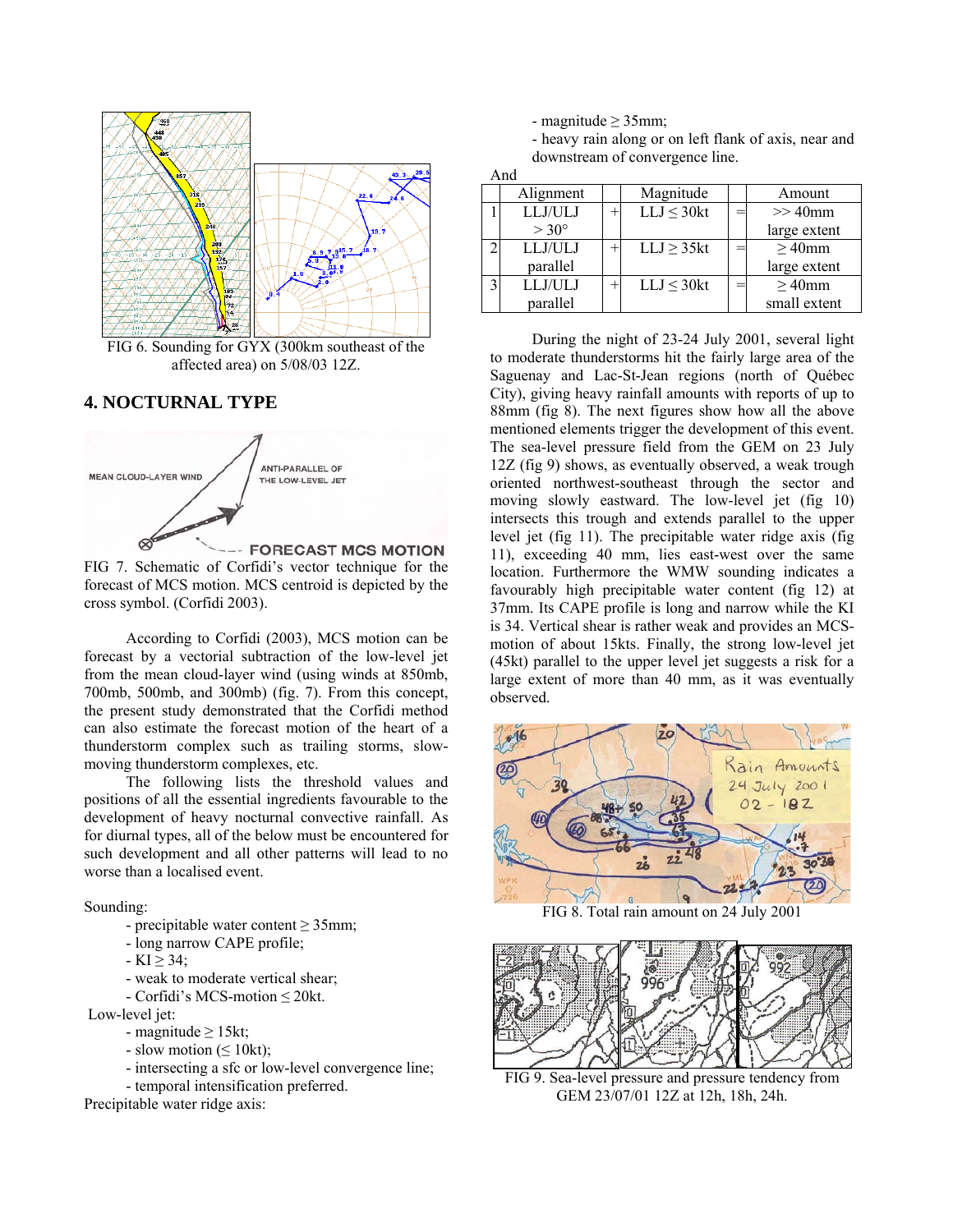

FIG 6. Sounding for GYX (300km southeast of the affected area) on 5/08/03 12Z.

# **4. NOCTURNAL TYPE**



FIG 7. Schematic of Corfidi's vector technique for the forecast of MCS motion. MCS centroid is depicted by the cross symbol. (Corfidi 2003).

According to Corfidi (2003), MCS motion can be forecast by a vectorial subtraction of the low-level jet from the mean cloud-layer wind (using winds at 850mb, 700mb, 500mb, and 300mb) (fig. 7). From this concept, the present study demonstrated that the Corfidi method can also estimate the forecast motion of the heart of a thunderstorm complex such as trailing storms, slowmoving thunderstorm complexes, etc.

The following lists the threshold values and positions of all the essential ingredients favourable to the development of heavy nocturnal convective rainfall. As for diurnal types, all of the below must be encountered for such development and all other patterns will lead to no worse than a localised event.

#### Sounding:

- precipitable water content  $\geq$  35mm;
- long narrow CAPE profile;
- $-KI > 34$ ;
- weak to moderate vertical shear;
- Corfidi's MCS-motion ≤ 20kt.

Low-level jet:

- magnitude  $\geq 15$ kt;
- slow motion ( $\leq 10$ kt);
- intersecting a sfc or low-level convergence line;
- temporal intensification preferred.

Precipitable water ridge axis:

- magnitude  $\geq$  35mm;

And

- heavy rain along or on left flank of axis, near and downstream of convergence line.

| $\sqrt{1111}$           |                |  |                 |  |              |  |  |
|-------------------------|----------------|--|-----------------|--|--------------|--|--|
|                         | Alignment      |  | Magnitude       |  | Amount       |  |  |
|                         | LLJ/ULJ        |  | $LLJ \leq 30kt$ |  | $>>$ 40 $mm$ |  |  |
|                         | $> 30^{\circ}$ |  |                 |  | large extent |  |  |
| Δ                       | LLJ/ULJ        |  | $LLJ \geq 35kt$ |  | $\geq$ 40mm  |  |  |
|                         | parallel       |  |                 |  | large extent |  |  |
| $\overline{\mathbf{c}}$ | LLJ/ULJ        |  | $LLJ \leq 30kt$ |  | $\geq$ 40mm  |  |  |
|                         | parallel       |  |                 |  | small extent |  |  |

During the night of 23-24 July 2001, several light to moderate thunderstorms hit the fairly large area of the Saguenay and Lac-St-Jean regions (north of Québec City), giving heavy rainfall amounts with reports of up to 88mm (fig 8). The next figures show how all the above mentioned elements trigger the development of this event. The sea-level pressure field from the GEM on 23 July 12Z (fig 9) shows, as eventually observed, a weak trough oriented northwest-southeast through the sector and moving slowly eastward. The low-level jet (fig 10) intersects this trough and extends parallel to the upper level jet (fig 11). The precipitable water ridge axis (fig 11), exceeding 40 mm, lies east-west over the same location. Furthermore the WMW sounding indicates a favourably high precipitable water content (fig 12) at 37mm. Its CAPE profile is long and narrow while the KI is 34. Vertical shear is rather weak and provides an MCSmotion of about 15kts. Finally, the strong low-level jet (45kt) parallel to the upper level jet suggests a risk for a large extent of more than 40 mm, as it was eventually observed.



FIG 8. Total rain amount on 24 July 2001



FIG 9. Sea-level pressure and pressure tendency from GEM 23/07/01 12Z at 12h, 18h, 24h.